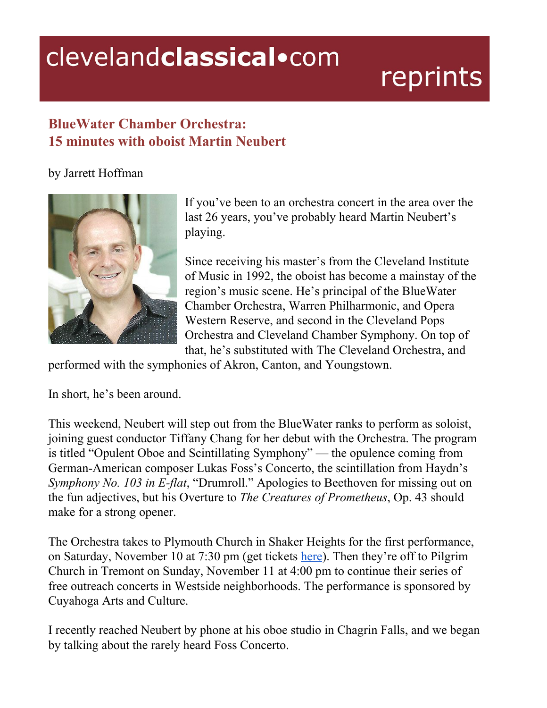## clevelandclassical.com

# reprints

### **BlueWater Chamber Orchestra: 15 minutes with oboist Martin Neubert**

#### by Jarrett Hoffman



If you've been to an orchestra concert in the area over the last 26 years, you've probably heard Martin Neubert's playing.

Since receiving his master's from the Cleveland Institute of Music in 1992, the oboist has become a mainstay of the region's music scene. He's principal of the BlueWater Chamber Orchestra, Warren Philharmonic, and Opera Western Reserve, and second in the Cleveland Pops Orchestra and Cleveland Chamber Symphony. On top of that, he's substituted with The Cleveland Orchestra, and

performed with the symphonies of Akron, Canton, and Youngstown.

In short, he's been around.

This weekend, Neubert will step out from the BlueWater ranks to perform as soloist, joining guest conductor Tiffany Chang for her debut with the Orchestra. The program is titled "Opulent Oboe and Scintillating Symphony" — the opulence coming from German-American composer Lukas Foss's Concerto, the scintillation from Haydn's *Symphony No. 103 in E-flat*, "Drumroll." Apologies to Beethoven for missing out on the fun adjectives, but his Overture to *The Creatures of Prometheus*, Op. 43 should make for a strong opener.

The Orchestra takes to Plymouth Church in Shaker Heights for the first performance, on Saturday, November 10 at 7:30 pm (get tickets [here\)](https://www.bluewaterorchestra.com/). Then they're off to Pilgrim Church in Tremont on Sunday, November 11 at 4:00 pm to continue their series of free outreach concerts in Westside neighborhoods. The performance is sponsored by Cuyahoga Arts and Culture.

I recently reached Neubert by phone at his oboe studio in Chagrin Falls, and we began by talking about the rarely heard Foss Concerto.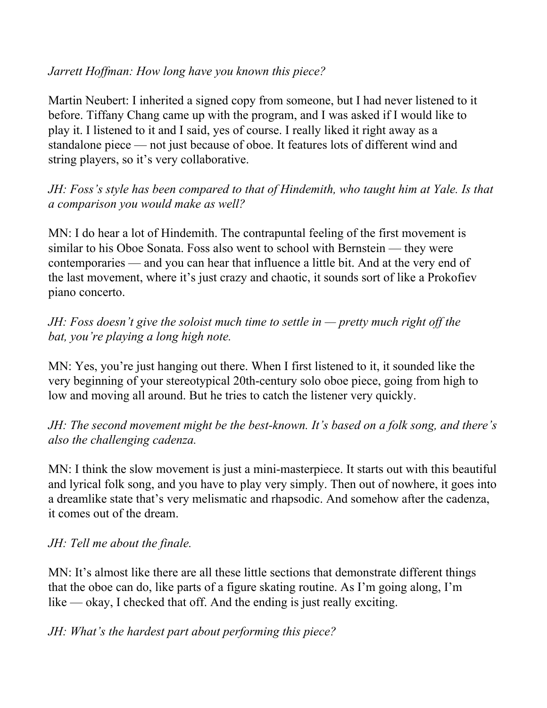#### *Jarrett Hof man: How long have you known this piece?*

Martin Neubert: I inherited a signed copy from someone, but I had never listened to it before. Tiffany Chang came up with the program, and I was asked if I would like to play it. I listened to it and I said, yes of course. I really liked it right away as a standalone piece — not just because of oboe. It features lots of different wind and string players, so it's very collaborative.

*JH: Foss's style has been compared to that of Hindemith, who taught him at Yale. Is that a comparison you would make as well?*

MN: I do hear a lot of Hindemith. The contrapuntal feeling of the first movement is similar to his Oboe Sonata. Foss also went to school with Bernstein — they were contemporaries — and you can hear that influence a little bit. And at the very end of the last movement, where it's just crazy and chaotic, it sounds sort of like a Prokofiev piano concerto.

*JH: Foss doesn't give the soloist much time to settle in — pretty much right of the bat, you're playing a long high note.*

MN: Yes, you're just hanging out there. When I first listened to it, it sounded like the very beginning of your stereotypical 20th-century solo oboe piece, going from high to low and moving all around. But he tries to catch the listener very quickly.

*JH: The second movement might be the best-known. It's based on a folk song, and there's also the challenging cadenza.*

MN: I think the slow movement is just a mini-masterpiece. It starts out with this beautiful and lyrical folk song, and you have to play very simply. Then out of nowhere, it goes into a dreamlike state that's very melismatic and rhapsodic. And somehow after the cadenza, it comes out of the dream.

#### *JH: Tell me about the finale.*

MN: It's almost like there are all these little sections that demonstrate different things that the oboe can do, like parts of a figure skating routine. As I'm going along, I'm like — okay, I checked that off. And the ending is just really exciting.

*JH: What's the hardest part about performing this piece?*